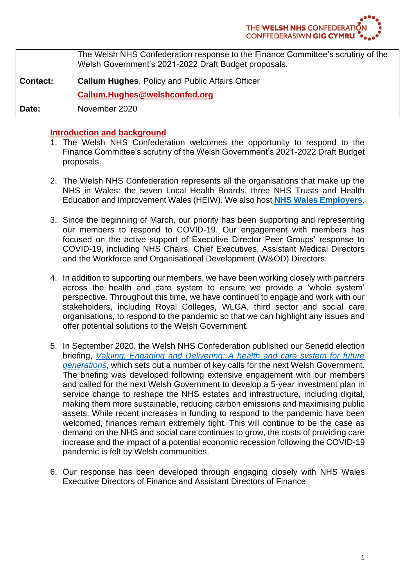|                 | The Welsh NHS Confederation response to the Finance Committee's scrutiny of the<br>Welsh Government's 2021-2022 Draft Budget proposals. |
|-----------------|-----------------------------------------------------------------------------------------------------------------------------------------|
| <b>Contact:</b> | <b>Callum Hughes, Policy and Public Affairs Officer</b>                                                                                 |
|                 | Callum.Hughes@welshconfed.org                                                                                                           |
| Date:           | November 2020                                                                                                                           |

# **Introduction and background**

- 1. The Welsh NHS Confederation welcomes the opportunity to respond to the Finance Committee's scrutiny of the Welsh Government's 2021-2022 Draft Budget proposals.
- 2. The Welsh NHS Confederation represents all the organisations that make up the NHS in Wales: the seven Local Health Boards, three NHS Trusts and Health Education and Improvement Wales (HEIW). We also host **[NHS Wales Employers](https://www.nhsconfed.org/regions-and-eu/welsh-nhs-confederation/nhs-wales-employers)**.
- 3. Since the beginning of March, our priority has been supporting and representing our members to respond to COVID-19. Our engagement with members has focused on the active support of Executive Director Peer Groups' response to COVID-19, including NHS Chairs, Chief Executives, Assistant Medical Directors and the Workforce and Organisational Development (W&OD) Directors.
- 4. In addition to supporting our members, we have been working closely with partners across the health and care system to ensure we provide a 'whole system' perspective. Throughout this time, we have continued to engage and work with our stakeholders, including Royal Colleges, WLGA, third sector and social care organisations, to respond to the pandemic so that we can highlight any issues and offer potential solutions to the Welsh Government.
- 5. In September 2020, the Welsh NHS Confederation published our Senedd election briefing, *[Valuing, Engaging and Delivering: A health and care system for future](https://www.nhsconfed.org/-/media/Confederation/Files/Wales-Confed/Welsh-NHS-Confederation--Elections-Brochure-pages-F1.pdf)  [generations](https://www.nhsconfed.org/-/media/Confederation/Files/Wales-Confed/Welsh-NHS-Confederation--Elections-Brochure-pages-F1.pdf)*, which sets out a number of key calls for the next Welsh Government. The briefing was developed following extensive engagement with our members and called for the next Welsh Government to develop a 5-year investment plan in service change to reshape the NHS estates and infrastructure, including digital, making them more sustainable, reducing carbon emissions and maximising public assets. While recent increases in funding to respond to the pandemic have been welcomed, finances remain extremely tight. This will continue to be the case as demand on the NHS and social care continues to grow, the costs of providing care increase and the impact of a potential economic recession following the COVID-19 pandemic is felt by Welsh communities.
- 6. Our response has been developed through engaging closely with NHS Wales Executive Directors of Finance and Assistant Directors of Finance.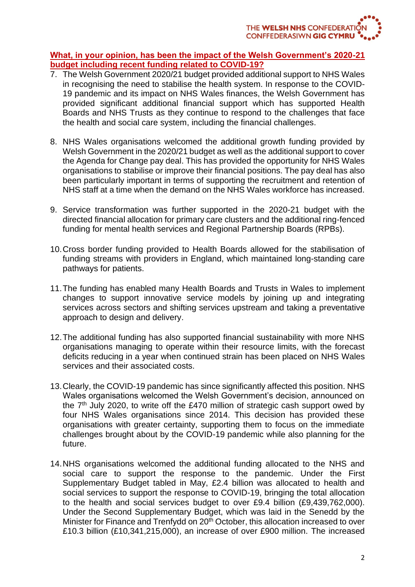## **What, in your opinion, has been the impact of the Welsh Government's 2020-21 budget including recent funding related to COVID-19?**

- 7. The Welsh Government 2020/21 budget provided additional support to NHS Wales in recognising the need to stabilise the health system. In response to the COVID-19 pandemic and its impact on NHS Wales finances, the Welsh Government has provided significant additional financial support which has supported Health Boards and NHS Trusts as they continue to respond to the challenges that face the health and social care system, including the financial challenges.
- 8. NHS Wales organisations welcomed the additional growth funding provided by Welsh Government in the 2020/21 budget as well as the additional support to cover the Agenda for Change pay deal. This has provided the opportunity for NHS Wales organisations to stabilise or improve their financial positions. The pay deal has also been particularly important in terms of supporting the recruitment and retention of NHS staff at a time when the demand on the NHS Wales workforce has increased.
- 9. Service transformation was further supported in the 2020-21 budget with the directed financial allocation for primary care clusters and the additional ring-fenced funding for mental health services and Regional Partnership Boards (RPBs).
- 10.Cross border funding provided to Health Boards allowed for the stabilisation of funding streams with providers in England, which maintained long-standing care pathways for patients.
- 11.The funding has enabled many Health Boards and Trusts in Wales to implement changes to support innovative service models by joining up and integrating services across sectors and shifting services upstream and taking a preventative approach to design and delivery.
- 12.The additional funding has also supported financial sustainability with more NHS organisations managing to operate within their resource limits, with the forecast deficits reducing in a year when continued strain has been placed on NHS Wales services and their associated costs.
- 13.Clearly, the COVID-19 pandemic has since significantly affected this position. NHS Wales organisations welcomed the Welsh Government's decision, announced on the  $7<sup>th</sup>$  July 2020, to write off the £470 million of strategic cash support owed by four NHS Wales organisations since 2014. This decision has provided these organisations with greater certainty, supporting them to focus on the immediate challenges brought about by the COVID-19 pandemic while also planning for the future.
- 14.NHS organisations welcomed the additional funding allocated to the NHS and social care to support the response to the pandemic. Under the First Supplementary Budget tabled in May, £2.4 billion was allocated to health and social services to support the response to COVID-19, bringing the total allocation to the health and social services budget to over £9.4 billion (£9,439,762,000). Under the Second Supplementary Budget, which was laid in the Senedd by the Minister for Finance and Trenfydd on 20<sup>th</sup> October, this allocation increased to over £10.3 billion (£10,341,215,000), an increase of over £900 million. The increased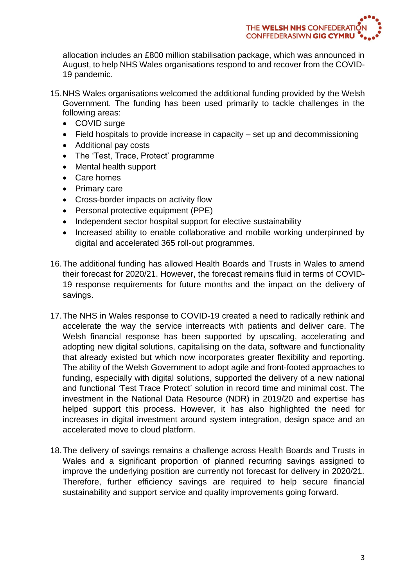allocation includes an £800 million stabilisation package, which was announced in August, to help NHS Wales organisations respond to and recover from the COVID-19 pandemic.

- 15.NHS Wales organisations welcomed the additional funding provided by the Welsh Government. The funding has been used primarily to tackle challenges in the following areas:
	- COVID surge
	- Field hospitals to provide increase in capacity set up and decommissioning
	- Additional pay costs
	- The 'Test, Trace, Protect' programme
	- Mental health support
	- Care homes
	- Primary care
	- Cross-border impacts on activity flow
	- Personal protective equipment (PPE)
	- Independent sector hospital support for elective sustainability
	- Increased ability to enable collaborative and mobile working underpinned by digital and accelerated 365 roll-out programmes.
- 16.The additional funding has allowed Health Boards and Trusts in Wales to amend their forecast for 2020/21. However, the forecast remains fluid in terms of COVID-19 response requirements for future months and the impact on the delivery of savings.
- 17.The NHS in Wales response to COVID-19 created a need to radically rethink and accelerate the way the service interreacts with patients and deliver care. The Welsh financial response has been supported by upscaling, accelerating and adopting new digital solutions, capitalising on the data, software and functionality that already existed but which now incorporates greater flexibility and reporting. The ability of the Welsh Government to adopt agile and front-footed approaches to funding, especially with digital solutions, supported the delivery of a new national and functional 'Test Trace Protect' solution in record time and minimal cost. The investment in the National Data Resource (NDR) in 2019/20 and expertise has helped support this process. However, it has also highlighted the need for increases in digital investment around system integration, design space and an accelerated move to cloud platform.
- 18.The delivery of savings remains a challenge across Health Boards and Trusts in Wales and a significant proportion of planned recurring savings assigned to improve the underlying position are currently not forecast for delivery in 2020/21. Therefore, further efficiency savings are required to help secure financial sustainability and support service and quality improvements going forward.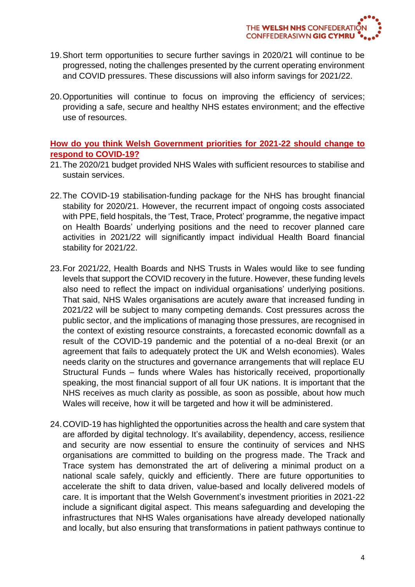- 19.Short term opportunities to secure further savings in 2020/21 will continue to be progressed, noting the challenges presented by the current operating environment and COVID pressures. These discussions will also inform savings for 2021/22.
- 20.Opportunities will continue to focus on improving the efficiency of services; providing a safe, secure and healthy NHS estates environment; and the effective use of resources.

## **How do you think Welsh Government priorities for 2021-22 should change to respond to COVID-19?**

- 21.The 2020/21 budget provided NHS Wales with sufficient resources to stabilise and sustain services.
- 22.The COVID-19 stabilisation-funding package for the NHS has brought financial stability for 2020/21. However, the recurrent impact of ongoing costs associated with PPE, field hospitals, the 'Test, Trace, Protect' programme, the negative impact on Health Boards' underlying positions and the need to recover planned care activities in 2021/22 will significantly impact individual Health Board financial stability for 2021/22.
- 23.For 2021/22, Health Boards and NHS Trusts in Wales would like to see funding levels that support the COVID recovery in the future. However, these funding levels also need to reflect the impact on individual organisations' underlying positions. That said, NHS Wales organisations are acutely aware that increased funding in 2021/22 will be subject to many competing demands. Cost pressures across the public sector, and the implications of managing those pressures, are recognised in the context of existing resource constraints, a forecasted economic downfall as a result of the COVID-19 pandemic and the potential of a no-deal Brexit (or an agreement that fails to adequately protect the UK and Welsh economies). Wales needs clarity on the structures and governance arrangements that will replace EU Structural Funds – funds where Wales has historically received, proportionally speaking, the most financial support of all four UK nations. It is important that the NHS receives as much clarity as possible, as soon as possible, about how much Wales will receive, how it will be targeted and how it will be administered.
- 24.COVID-19 has highlighted the opportunities across the health and care system that are afforded by digital technology. It's availability, dependency, access, resilience and security are now essential to ensure the continuity of services and NHS organisations are committed to building on the progress made. The Track and Trace system has demonstrated the art of delivering a minimal product on a national scale safely, quickly and efficiently. There are future opportunities to accelerate the shift to data driven, value-based and locally delivered models of care. It is important that the Welsh Government's investment priorities in 2021-22 include a significant digital aspect. This means safeguarding and developing the infrastructures that NHS Wales organisations have already developed nationally and locally, but also ensuring that transformations in patient pathways continue to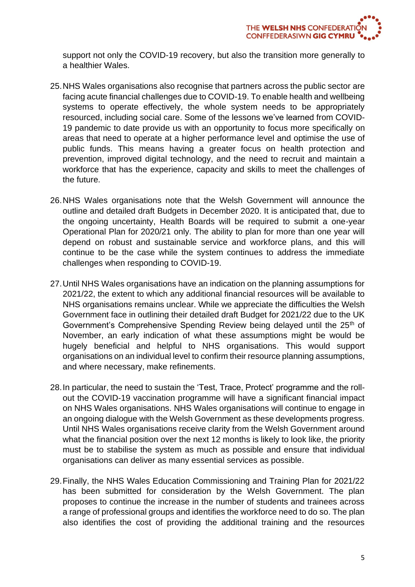support not only the COVID-19 recovery, but also the transition more generally to a healthier Wales.

- 25.NHS Wales organisations also recognise that partners across the public sector are facing acute financial challenges due to COVID-19. To enable health and wellbeing systems to operate effectively, the whole system needs to be appropriately resourced, including social care. Some of the lessons we've learned from COVID-19 pandemic to date provide us with an opportunity to focus more specifically on areas that need to operate at a higher performance level and optimise the use of public funds. This means having a greater focus on health protection and prevention, improved digital technology, and the need to recruit and maintain a workforce that has the experience, capacity and skills to meet the challenges of the future.
- 26.NHS Wales organisations note that the Welsh Government will announce the outline and detailed draft Budgets in December 2020. It is anticipated that, due to the ongoing uncertainty, Health Boards will be required to submit a one-year Operational Plan for 2020/21 only. The ability to plan for more than one year will depend on robust and sustainable service and workforce plans, and this will continue to be the case while the system continues to address the immediate challenges when responding to COVID-19.
- 27.Until NHS Wales organisations have an indication on the planning assumptions for 2021/22, the extent to which any additional financial resources will be available to NHS organisations remains unclear. While we appreciate the difficulties the Welsh Government face in outlining their detailed draft Budget for 2021/22 due to the UK Government's Comprehensive Spending Review being delayed until the 25<sup>th</sup> of November, an early indication of what these assumptions might be would be hugely beneficial and helpful to NHS organisations. This would support organisations on an individual level to confirm their resource planning assumptions, and where necessary, make refinements.
- 28.In particular, the need to sustain the 'Test, Trace, Protect' programme and the rollout the COVID-19 vaccination programme will have a significant financial impact on NHS Wales organisations. NHS Wales organisations will continue to engage in an ongoing dialogue with the Welsh Government as these developments progress. Until NHS Wales organisations receive clarity from the Welsh Government around what the financial position over the next 12 months is likely to look like, the priority must be to stabilise the system as much as possible and ensure that individual organisations can deliver as many essential services as possible.
- 29.Finally, the NHS Wales Education Commissioning and Training Plan for 2021/22 has been submitted for consideration by the Welsh Government. The plan proposes to continue the increase in the number of students and trainees across a range of professional groups and identifies the workforce need to do so. The plan also identifies the cost of providing the additional training and the resources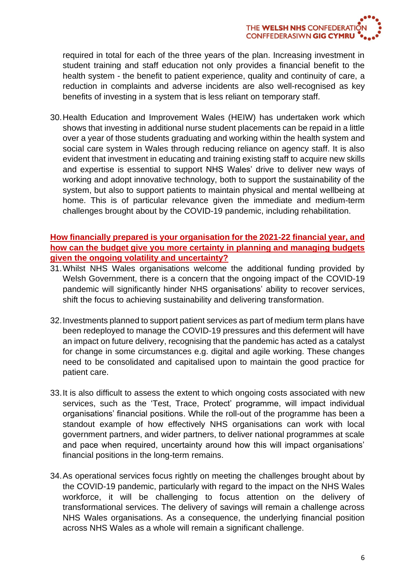required in total for each of the three years of the plan. Increasing investment in student training and staff education not only provides a financial benefit to the health system - the benefit to patient experience, quality and continuity of care, a reduction in complaints and adverse incidents are also well-recognised as key benefits of investing in a system that is less reliant on temporary staff.

30.Health Education and Improvement Wales (HEIW) has undertaken work which shows that investing in additional nurse student placements can be repaid in a little over a year of those students graduating and working within the health system and social care system in Wales through reducing reliance on agency staff. It is also evident that investment in educating and training existing staff to acquire new skills and expertise is essential to support NHS Wales' drive to deliver new ways of working and adopt innovative technology, both to support the sustainability of the system, but also to support patients to maintain physical and mental wellbeing at home. This is of particular relevance given the immediate and medium-term challenges brought about by the COVID-19 pandemic, including rehabilitation.

# **How financially prepared is your organisation for the 2021-22 financial year, and how can the budget give you more certainty in planning and managing budgets given the ongoing volatility and uncertainty?**

- 31.Whilst NHS Wales organisations welcome the additional funding provided by Welsh Government, there is a concern that the ongoing impact of the COVID-19 pandemic will significantly hinder NHS organisations' ability to recover services, shift the focus to achieving sustainability and delivering transformation.
- 32.Investments planned to support patient services as part of medium term plans have been redeployed to manage the COVID-19 pressures and this deferment will have an impact on future delivery, recognising that the pandemic has acted as a catalyst for change in some circumstances e.g. digital and agile working. These changes need to be consolidated and capitalised upon to maintain the good practice for patient care.
- 33.It is also difficult to assess the extent to which ongoing costs associated with new services, such as the 'Test, Trace, Protect' programme, will impact individual organisations' financial positions. While the roll-out of the programme has been a standout example of how effectively NHS organisations can work with local government partners, and wider partners, to deliver national programmes at scale and pace when required, uncertainty around how this will impact organisations' financial positions in the long-term remains.
- 34.As operational services focus rightly on meeting the challenges brought about by the COVID-19 pandemic, particularly with regard to the impact on the NHS Wales workforce, it will be challenging to focus attention on the delivery of transformational services. The delivery of savings will remain a challenge across NHS Wales organisations. As a consequence, the underlying financial position across NHS Wales as a whole will remain a significant challenge.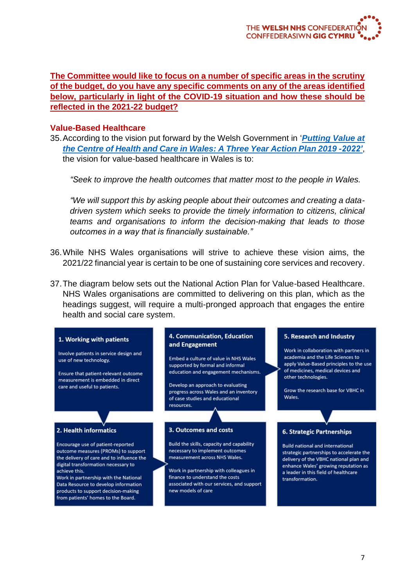**The Committee would like to focus on a number of specific areas in the scrutiny of the budget, do you have any specific comments on any of the areas identified below, particularly in light of the COVID-19 situation and how these should be reflected in the 2021-22 budget?**

#### **Value-Based Healthcare**

35.According to the vision put forward by the Welsh Government in '*[Putting Value at](http://www.infoandstats.wales.nhs.uk/Documents/869/VBHC%20Action%20Plan%202019-2022.pdf)  [the Centre of Health and Care in Wales: A Three Year Action Plan 2019 -2022'](http://www.infoandstats.wales.nhs.uk/Documents/869/VBHC%20Action%20Plan%202019-2022.pdf)*, the vision for value-based healthcare in Wales is to:

*"Seek to improve the health outcomes that matter most to the people in Wales.*

*"We will support this by asking people about their outcomes and creating a datadriven system which seeks to provide the timely information to citizens, clinical teams and organisations to inform the decision-making that leads to those outcomes in a way that is financially sustainable."*

- 36.While NHS Wales organisations will strive to achieve these vision aims, the 2021/22 financial year is certain to be one of sustaining core services and recovery.
- 37.The diagram below sets out the National Action Plan for Value-based Healthcare. NHS Wales organisations are committed to delivering on this plan, which as the headings suggest, will require a multi-pronged approach that engages the entire health and social care system.

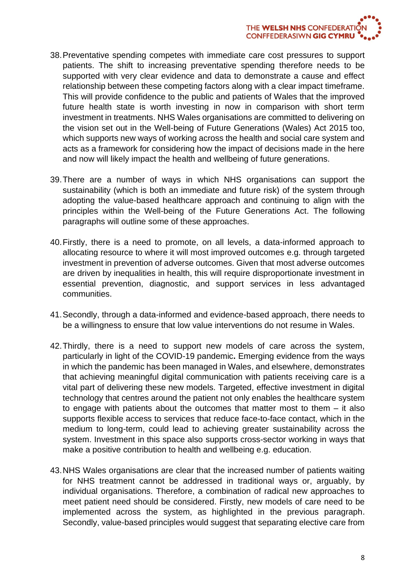- 38.Preventative spending competes with immediate care cost pressures to support patients. The shift to increasing preventative spending therefore needs to be supported with very clear evidence and data to demonstrate a cause and effect relationship between these competing factors along with a clear impact timeframe. This will provide confidence to the public and patients of Wales that the improved future health state is worth investing in now in comparison with short term investment in treatments. NHS Wales organisations are committed to delivering on the vision set out in the Well-being of Future Generations (Wales) Act 2015 too, which supports new ways of working across the health and social care system and acts as a framework for considering how the impact of decisions made in the here and now will likely impact the health and wellbeing of future generations.
- 39.There are a number of ways in which NHS organisations can support the sustainability (which is both an immediate and future risk) of the system through adopting the value-based healthcare approach and continuing to align with the principles within the Well-being of the Future Generations Act. The following paragraphs will outline some of these approaches.
- 40.Firstly, there is a need to promote, on all levels, a data-informed approach to allocating resource to where it will most improved outcomes e.g. through targeted investment in prevention of adverse outcomes. Given that most adverse outcomes are driven by inequalities in health, this will require disproportionate investment in essential prevention, diagnostic, and support services in less advantaged communities.
- 41.Secondly, through a data-informed and evidence-based approach, there needs to be a willingness to ensure that low value interventions do not resume in Wales.
- 42.Thirdly, there is a need to support new models of care across the system, particularly in light of the COVID-19 pandemic**.** Emerging evidence from the ways in which the pandemic has been managed in Wales, and elsewhere, demonstrates that achieving meaningful digital communication with patients receiving care is a vital part of delivering these new models. Targeted, effective investment in digital technology that centres around the patient not only enables the healthcare system to engage with patients about the outcomes that matter most to them – it also supports flexible access to services that reduce face-to-face contact, which in the medium to long-term, could lead to achieving greater sustainability across the system. Investment in this space also supports cross-sector working in ways that make a positive contribution to health and wellbeing e.g. education.
- 43.NHS Wales organisations are clear that the increased number of patients waiting for NHS treatment cannot be addressed in traditional ways or, arguably, by individual organisations. Therefore, a combination of radical new approaches to meet patient need should be considered. Firstly, new models of care need to be implemented across the system, as highlighted in the previous paragraph. Secondly, value-based principles would suggest that separating elective care from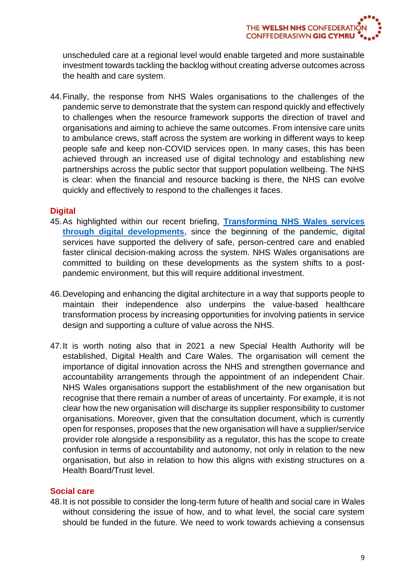unscheduled care at a regional level would enable targeted and more sustainable investment towards tackling the backlog without creating adverse outcomes across the health and care system.

44.Finally, the response from NHS Wales organisations to the challenges of the pandemic serve to demonstrate that the system can respond quickly and effectively to challenges when the resource framework supports the direction of travel and organisations and aiming to achieve the same outcomes. From intensive care units to ambulance crews, staff across the system are working in different ways to keep people safe and keep non-COVID services open. In many cases, this has been achieved through an increased use of digital technology and establishing new partnerships across the public sector that support population wellbeing. The NHS is clear: when the financial and resource backing is there, the NHS can evolve quickly and effectively to respond to the challenges it faces.

## **Digital**

- 45.As highlighted within our recent briefing, **[Transforming NHS Wales services](https://www.nhsconfed.org/-/media/Confederation/Files/Wales-Confed/Transforming-NHS-Wales-services-through-digital-developments---Final.pdf)  [through digital developments](https://www.nhsconfed.org/-/media/Confederation/Files/Wales-Confed/Transforming-NHS-Wales-services-through-digital-developments---Final.pdf)**, since the beginning of the pandemic, digital services have supported the delivery of safe, person-centred care and enabled faster clinical decision-making across the system. NHS Wales organisations are committed to building on these developments as the system shifts to a postpandemic environment, but this will require additional investment.
- 46.Developing and enhancing the digital architecture in a way that supports people to maintain their independence also underpins the value-based healthcare transformation process by increasing opportunities for involving patients in service design and supporting a culture of value across the NHS.
- 47.It is worth noting also that in 2021 a new Special Health Authority will be established, Digital Health and Care Wales. The organisation will cement the importance of digital innovation across the NHS and strengthen governance and accountability arrangements through the appointment of an independent Chair. NHS Wales organisations support the establishment of the new organisation but recognise that there remain a number of areas of uncertainty. For example, it is not clear how the new organisation will discharge its supplier responsibility to customer organisations. Moreover, given that the consultation document, which is currently open for responses, proposes that the new organisation will have a supplier/service provider role alongside a responsibility as a regulator, this has the scope to create confusion in terms of accountability and autonomy, not only in relation to the new organisation, but also in relation to how this aligns with existing structures on a Health Board/Trust level.

#### **Social care**

48.It is not possible to consider the long-term future of health and social care in Wales without considering the issue of how, and to what level, the social care system should be funded in the future. We need to work towards achieving a consensus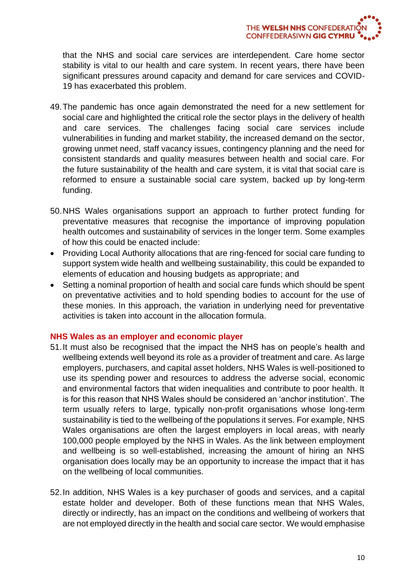that the NHS and social care services are interdependent. Care home sector stability is vital to our health and care system. In recent years, there have been significant pressures around capacity and demand for care services and COVID-19 has exacerbated this problem.

- 49.The pandemic has once again demonstrated the need for a new settlement for social care and highlighted the critical role the sector plays in the delivery of health and care services. The challenges facing social care services include vulnerabilities in funding and market stability, the increased demand on the sector, growing unmet need, staff vacancy issues, contingency planning and the need for consistent standards and quality measures between health and social care. For the future sustainability of the health and care system, it is vital that social care is reformed to ensure a sustainable social care system, backed up by long-term funding.
- 50.NHS Wales organisations support an approach to further protect funding for preventative measures that recognise the importance of improving population health outcomes and sustainability of services in the longer term. Some examples of how this could be enacted include:
- Providing Local Authority allocations that are ring-fenced for social care funding to support system wide health and wellbeing sustainability, this could be expanded to elements of education and housing budgets as appropriate; and
- Setting a nominal proportion of health and social care funds which should be spent on preventative activities and to hold spending bodies to account for the use of these monies. In this approach, the variation in underlying need for preventative activities is taken into account in the allocation formula.

#### **NHS Wales as an employer and economic player**

- 51.It must also be recognised that the impact the NHS has on people's health and wellbeing extends well beyond its role as a provider of treatment and care. As large employers, purchasers, and capital asset holders, NHS Wales is well-positioned to use its spending power and resources to address the adverse social, economic and environmental factors that widen inequalities and contribute to poor health. It is for this reason that NHS Wales should be considered an 'anchor institution'. The term usually refers to large, typically non-profit organisations whose long-term sustainability is tied to the wellbeing of the populations it serves. For example, NHS Wales organisations are often the largest employers in local areas, with nearly 100,000 people employed by the NHS in Wales. As the link between employment and wellbeing is so well-established, increasing the amount of hiring an NHS organisation does locally may be an opportunity to increase the impact that it has on the wellbeing of local communities.
- 52.In addition, NHS Wales is a key purchaser of goods and services, and a capital estate holder and developer. Both of these functions mean that NHS Wales, directly or indirectly, has an impact on the conditions and wellbeing of workers that are not employed directly in the health and social care sector. We would emphasise